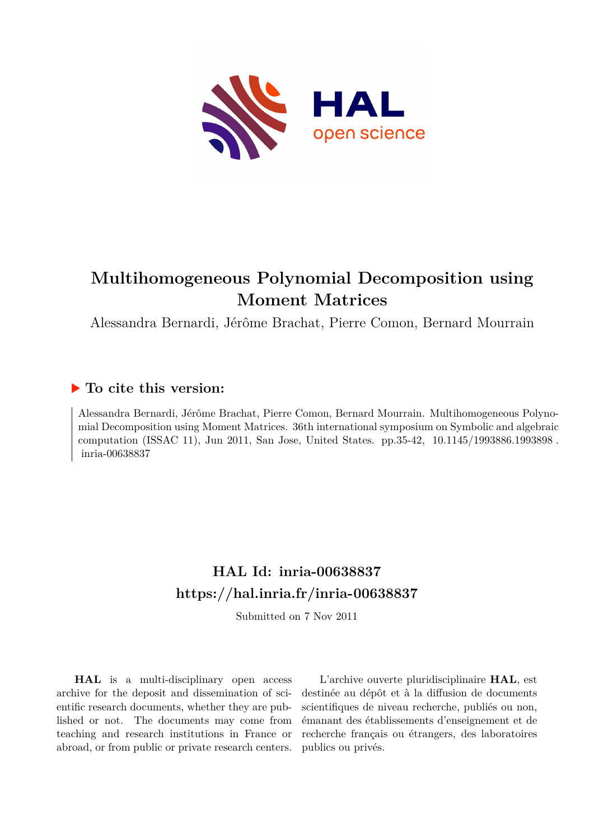

# **Multihomogeneous Polynomial Decomposition using Moment Matrices**

Alessandra Bernardi, Jérôme Brachat, Pierre Comon, Bernard Mourrain

## **To cite this version:**

Alessandra Bernardi, Jérôme Brachat, Pierre Comon, Bernard Mourrain. Multihomogeneous Polynomial Decomposition using Moment Matrices. 36th international symposium on Symbolic and algebraic computation (ISSAC 11), Jun 2011, San Jose, United States. pp.35-42, 10.1145/1993886.1993898. inria-00638837

## **HAL Id: inria-00638837 <https://hal.inria.fr/inria-00638837>**

Submitted on 7 Nov 2011

**HAL** is a multi-disciplinary open access archive for the deposit and dissemination of scientific research documents, whether they are published or not. The documents may come from teaching and research institutions in France or abroad, or from public or private research centers.

L'archive ouverte pluridisciplinaire **HAL**, est destinée au dépôt et à la diffusion de documents scientifiques de niveau recherche, publiés ou non, émanant des établissements d'enseignement et de recherche français ou étrangers, des laboratoires publics ou privés.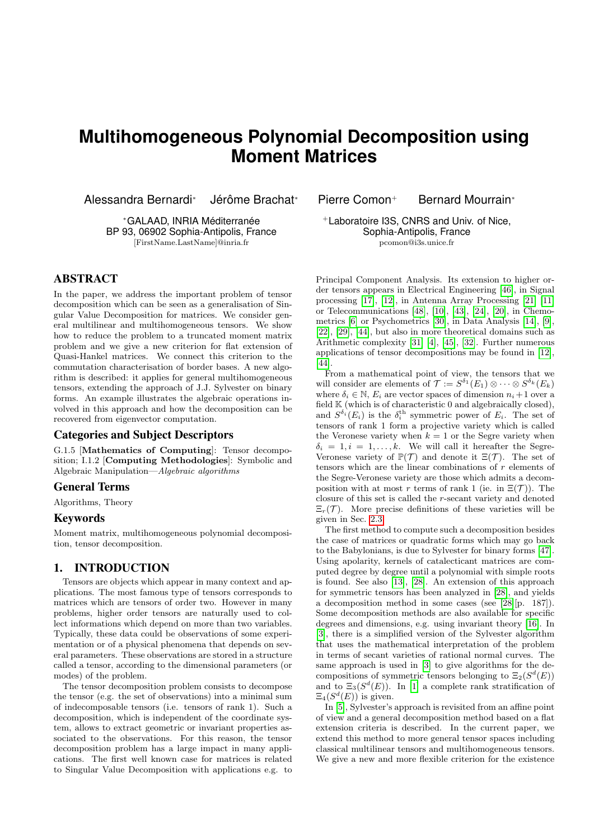## **Multihomogeneous Polynomial Decomposition using Moment Matrices**

Alessandra Bernardi<sup>∗</sup> Jérôme Brachat<sup>∗</sup>

<sup>∗</sup>GALAAD, INRIA Méditerranée BP 93, 06902 Sophia-Antipolis, France [FirstName.LastName]@inria.fr

## ABSTRACT

In the paper, we address the important problem of tensor decomposition which can be seen as a generalisation of Singular Value Decomposition for matrices. We consider general multilinear and multihomogeneous tensors. We show how to reduce the problem to a truncated moment matrix problem and we give a new criterion for flat extension of Quasi-Hankel matrices. We connect this criterion to the commutation characterisation of border bases. A new algorithm is described: it applies for general multihomogeneous tensors, extending the approach of J.J. Sylvester on binary forms. An example illustrates the algebraic operations involved in this approach and how the decomposition can be recovered from eigenvector computation.

## Categories and Subject Descriptors

G.1.5 [Mathematics of Computing]: Tensor decomposition; I.1.2 [Computing Methodologies]: Symbolic and Algebraic Manipulation—Algebraic algorithms

### General Terms

Algorithms, Theory

### Keywords

Moment matrix, multihomogeneous polynomial decomposition, tensor decomposition.

## 1. INTRODUCTION

Tensors are objects which appear in many context and applications. The most famous type of tensors corresponds to matrices which are tensors of order two. However in many problems, higher order tensors are naturally used to collect informations which depend on more than two variables. Typically, these data could be observations of some experimentation or of a physical phenomena that depends on several parameters. These observations are stored in a structure called a tensor, according to the dimensional parameters (or modes) of the problem.

The tensor decomposition problem consists to decompose the tensor (e.g. the set of observations) into a minimal sum of indecomposable tensors (i.e. tensors of rank 1). Such a decomposition, which is independent of the coordinate system, allows to extract geometric or invariant properties associated to the observations. For this reason, the tensor decomposition problem has a large impact in many applications. The first well known case for matrices is related to Singular Value Decomposition with applications e.g. to

Pierre Comon<sup>+</sup> Bernard Mourrain<sup>∗</sup>

<sup>+</sup>Laboratoire I3S, CNRS and Univ. of Nice, Sophia-Antipolis, France pcomon@i3s.unice.fr

Principal Component Analysis. Its extension to higher order tensors appears in Electrical Engineering [46], in Signal processing [17], [12], in Antenna Array Processing [21] [11] or Telecommunications [48], [10], [43], [24], [20], in Chemometrics [6] or Psychometrics [30], in Data Analysis [14], [9], [22], [29], [44], but also in more theoretical domains such as Arithmetic complexity [31] [4], [45], [32]. Further numerous applications of tensor decompositions may be found in [12], [44].

From a mathematical point of view, the tensors that we will consider are elements of  $\mathcal{T} := S^{\delta_1}(E_1) \otimes \cdots \otimes S^{\delta_k}(E_k)$ where  $\delta_i \in \mathbb{N}$ ,  $E_i$  are vector spaces of dimension  $n_i+1$  over a field  $K$  (which is of characteristic 0 and algebraically closed), and  $S^{\delta_i}(E_i)$  is the  $\delta_i^{\text{th}}$  symmetric power of  $E_i$ . The set of tensors of rank 1 form a projective variety which is called the Veronese variety when  $k = 1$  or the Segre variety when  $\delta_i = 1, i = 1, \ldots, k$ . We will call it hereafter the Segre-Veronese variety of  $\mathbb{P}(\mathcal{T})$  and denote it  $\Xi(\mathcal{T})$ . The set of tensors which are the linear combinations of r elements of the Segre-Veronese variety are those which admits a decomposition with at most r terms of rank 1 (ie. in  $\Xi(\mathcal{T})$ ). The closure of this set is called the r-secant variety and denoted  $\Xi_r(\mathcal{T})$ . More precise definitions of these varieties will be given in Sec. 2.3.

The first method to compute such a decomposition besides the case of matrices or quadratic forms which may go back to the Babylonians, is due to Sylvester for binary forms [47]. Using apolarity, kernels of catalecticant matrices are computed degree by degree until a polynomial with simple roots is found. See also [13], [28]. An extension of this approach for symmetric tensors has been analyzed in [28], and yields a decomposition method in some cases (see [28][p. 187]). Some decomposition methods are also available for specific degrees and dimensions, e.g. using invariant theory [16]. In [3], there is a simplified version of the Sylvester algorithm that uses the mathematical interpretation of the problem in terms of secant varieties of rational normal curves. The same approach is used in [3] to give algorithms for the decompositions of symmetric tensors belonging to  $\Xi_2(S^d(E))$ and to  $\Xi_3(S^d(E))$ . In [1] a complete rank stratification of  $\Xi_4(S^d(E))$  is given.

In [5], Sylvester's approach is revisited from an affine point of view and a general decomposition method based on a flat extension criteria is described. In the current paper, we extend this method to more general tensor spaces including classical multilinear tensors and multihomogeneous tensors. We give a new and more flexible criterion for the existence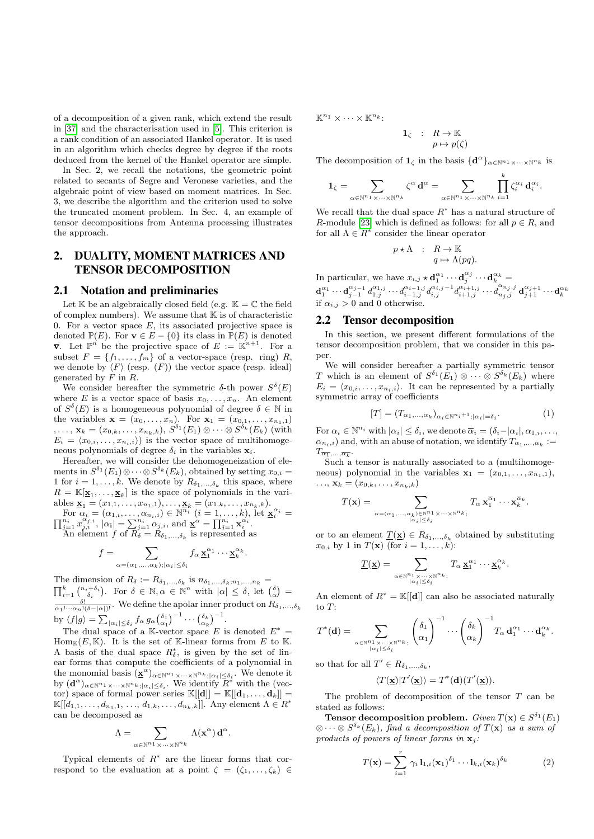of a decomposition of a given rank, which extend the result in [37] and the characterisation used in [5]. This criterion is a rank condition of an associated Hankel operator. It is used in an algorithm which checks degree by degree if the roots deduced from the kernel of the Hankel operator are simple.

In Sec. 2, we recall the notations, the geometric point related to secants of Segre and Veronese varieties, and the algebraic point of view based on moment matrices. In Sec. 3, we describe the algorithm and the criterion used to solve the truncated moment problem. In Sec. 4, an example of tensor decompositions from Antenna processing illustrates the approach.

## 2. DUALITY, MOMENT MATRICES AND TENSOR DECOMPOSITION

### 2.1 Notation and preliminaries

Let  $K$  be an algebraically closed field (e.g.  $K = \mathbb{C}$  the field of complex numbers). We assume that  $K$  is of characteristic 0. For a vector space  $E$ , its associated projective space is denoted  $\mathbb{P}(E)$ . For  $\mathbf{v} \in E - \{0\}$  its class in  $\mathbb{P}(E)$  is denoted  $\bar{\mathbf{v}}$ . Let  $\mathbb{P}^n$  be the projective space of  $E := \mathbb{K}^{n+1}$ . For a subset  $F = \{f_1, \ldots, f_m\}$  of a vector-space (resp. ring) R, we denote by  $\langle F \rangle$  (resp.  $(F)$ ) the vector space (resp. ideal) generated by  $F$  in  $R$ .

We consider hereafter the symmetric  $\delta$ -th power  $S^{\delta}(E)$ where E is a vector space of basis  $x_0, \ldots, x_n$ . An element of  $S^{\delta}(E)$  is a homogeneous polynomial of degree  $\delta \in \mathbb{N}$  in the variables  $\mathbf{x} = (x_0, ..., x_n)$ . For  $\mathbf{x}_1 = (x_{0,1}, ..., x_{n_1,1})$  $, \ldots, \mathbf{x}_k = (x_{0,k}, \ldots, x_{n_k,k}), S^{\delta_1}(E_1) \otimes \cdots \otimes S^{\delta_k}(E_k)$  (with  $E_i = \langle x_{0,i}, \ldots, x_{n_i,i} \rangle$  is the vector space of multihomogeneous polynomials of degree  $\delta_i$  in the variables  $\mathbf{x}_i$ .

Hereafter, we will consider the dehomogeneization of elements in  $S^{\delta_1}(E_1) \otimes \cdots \otimes S^{\delta_k}(E_k)$ , obtained by setting  $x_{0,i} =$ 1 for  $i = 1, \ldots, k$ . We denote by  $R_{\delta_1, \ldots, \delta_k}$  this space, where  $R = \mathbb{K}[\underline{\mathbf{x}}_1, \dots, \underline{\mathbf{x}}_k]$  is the space of polynomials in the variables  $\underline{\mathbf{x}}_1 = (x_{1,1}, \ldots, x_{n_1,1}), \ldots, \underline{\mathbf{x}}_k = (x_{1,k}, \ldots, x_{n_k,k}).$ 

For  $\alpha_i = (\alpha_{1,i}, \ldots, \alpha_{n_i,i}) \in \mathbb{N}^{\overline{n_i}} \ (i = 1, \ldots, k),$  let  $\mathbf{x}_i^{\alpha_i} = \prod_{j=1}^{n_i} x_{j,i}^{\alpha_{j,i}}, |\alpha_i| = \sum_{j=1}^{n_i} \alpha_{j,i}^{\alpha_{j,i}},$  and  $\underline{\mathbf{x}}^{\alpha} = \prod_{j=1}^{n_i} \mathbf{x}_i^{\alpha_i}.$ 

An element f of  $R_{\delta} = R_{\delta_1,\dots,\delta_k}$  is represented as

$$
f = \sum_{\alpha = (\alpha_1, ..., \alpha_k); |\alpha_i| \le \delta_i} f_\alpha \mathbf{\underline{x}}_1^{\alpha_1} \cdots \mathbf{\underline{x}}_k^{\alpha_k}
$$

.

.

The dimension of  $R_{\delta} := R_{\delta_1,\ldots,\delta_k}$  is  $n_{\delta_1,\ldots,\delta_k; n_1,\ldots,n_k}$  $\prod_{i=1}^k \binom{n_i+\delta_i}{\delta_i}$ . For  $\delta \in \mathbb{N}, \alpha \in \mathbb{N}^n$  with  $|\alpha| \leq \delta$ , let  $\binom{\delta}{\alpha}$  =  $\frac{\delta!}{\alpha_1! \cdots \alpha_n! (\delta - |\alpha|)!}$ . We define the apolar inner product on  $R_{\delta_1,\ldots,\delta_k}$ by  $\langle f|g\rangle = \sum_{|\alpha_i|\leq \delta_i} f_\alpha g_\alpha \left(\begin{matrix} \delta_1 \\ \alpha_1 \end{matrix}\right)^{-1} \cdots \left(\begin{matrix} \delta_k \\ \alpha_k \end{matrix}\right)^{-1}$ .

The dual space of a K-vector space E is denoted  $E^* =$  $\text{Hom}_{\mathbb{K}}(E,\mathbb{K})$ . It is the set of K-linear forms from E to K. A basis of the dual space  $R^*_{\delta}$ , is given by the set of linear forms that compute the coefficients of a polynomial in the monomial basis  $(\underline{\mathbf{x}}^{\alpha})_{\alpha \in \mathbb{N}^{n_1} \times \cdots \times \mathbb{N}^{n_k}; |\alpha_i| \leq \delta_i}$ . We denote it by  $(d^{\alpha})_{\alpha \in \mathbb{N}^{n_1} \times \cdots \times \mathbb{N}^{n_k}; |\alpha_i| \leq \delta_i}$ . We identify  $R^*$  with the (vector) space of formal power series  $\mathbb{K}[[\mathbf{d}]] = \mathbb{K}[[\mathbf{d}_1,\ldots,\mathbf{d}_k]] =$  $\mathbb{K}[[d_{1,1}, \ldots, d_{n_1,1}, \ldots, d_{1,k}, \ldots, d_{n_k,k}]]$ . Any element  $\Lambda \in \mathbb{R}^*$ can be decomposed as

$$
\Lambda = \sum_{\alpha \in \mathbb{N}^{n_1} \times \cdots \times \mathbb{N}^{n_k}} \Lambda(\mathbf{x}^{\alpha}) \mathbf{d}^{\alpha}
$$

Typical elements of  $R^*$  are the linear forms that correspond to the evaluation at a point  $\zeta = (\zeta_1, \ldots, \zeta_k) \in$   $\mathbb{K}^{n_1} \times \cdots \times \mathbb{K}^{n_k}$ 

$$
\begin{array}{rcl} \mathbf{1}_{\zeta} & : & R \to \mathbb{K} \\ & & p \mapsto p(\zeta) \end{array}
$$

The decomposition of  $1_\zeta$  in the basis  $\{d^\alpha\}_{\alpha \in \mathbb{N}^{n_1} \times \cdots \times \mathbb{N}^{n_k}}$  is

$$
\mathbf{1}_{\zeta} = \sum_{\alpha \in \mathbb{N}^{n_1} \times \cdots \times \mathbb{N}^{n_k}} \zeta^{\alpha} \mathbf{d}^{\alpha} = \sum_{\alpha \in \mathbb{N}^{n_1} \times \cdots \times \mathbb{N}^{n_k}} \prod_{i=1}^k \zeta_i^{\alpha_i} \mathbf{d}_i^{\alpha_i}.
$$

We recall that the dual space  $R^*$  has a natural structure of R-module [23] which is defined as follows: for all  $p \in R$ , and for all  $\Lambda \in R^*$  consider the linear operator

$$
p \star \Lambda \quad : \quad R \to \mathbb{K} \\ q \mapsto \Lambda(pq).
$$

In particular, we have  $x_{i,j} \star \mathbf{d}_1^{\alpha_1} \cdots \mathbf{d}_j^{\alpha_j} \cdots \mathbf{d}_k^{\alpha_k} =$  $\mathbf{d}_1^{\alpha_1} \cdots \mathbf{d}_{j-1}^{\alpha_{j-1}} \, d_{1,j}^{\alpha_{1,j}} \cdots d_{i-1,j}^{\alpha_{i-1,j}} \, d_{i,j}^{\alpha_{i,j}-1} d_{i+1,j}^{\alpha_{i+1,j}} \cdots d_{n_j,j}^{\alpha_{n_j,j}} \, \mathbf{d}_{j+1}^{\alpha_{j+1}} \cdots \mathbf{d}_{k}^{\alpha_{k}}$ if  $\alpha_{i,j} > 0$  and 0 otherwise.

#### 2.2 Tensor decomposition

In this section, we present different formulations of the tensor decomposition problem, that we consider in this paper.

We will consider hereafter a partially symmetric tensor T which is an element of  $S^{\delta_1}(E_1) \otimes \cdots \otimes S^{\delta_k}(E_k)$  where  $E_i = \langle x_{0,i}, \ldots, x_{n_i,i} \rangle$ . It can be represented by a partially symmetric array of coefficients

$$
[T] = (T_{\alpha_1,\ldots,\alpha_k})_{\alpha_i \in \mathbb{N}^{n_i+1}; |\alpha_i| = \delta_i}.
$$
 (1)

For  $\alpha_i \in \mathbb{N}^{n_i}$  with  $|\alpha_i| \leq \delta_i$ , we denote  $\overline{\alpha}_i = (\delta_i - |\alpha_i|, \alpha_{1,i}, \ldots, \alpha_{n,i})$  $\alpha_{n_i,i}$ ) and, with an abuse of notation, we identify  $T_{\alpha_1,\dots,\alpha_k}$ :=  $T_{\overline{\alpha_1},\ldots,\overline{\alpha_k}}.$ 

Such a tensor is naturally associated to a (multihomogeneous) polynomial in the variables  $\mathbf{x}_1 = (x_{0,1}, \ldots, x_{n_1,1}),$  $\ldots, \mathbf{x}_k = (x_{0,k}, \ldots, x_{n_k,k})$ 

$$
T(\mathbf{x}) = \sum_{\alpha = (\alpha_1, ..., \alpha_k) \in \mathbb{N}^{n_1} \times \dots \times \mathbb{N}^{n_k}} T_{\alpha} \mathbf{x}_1^{\overline{\alpha}_1} \cdots \mathbf{x}_k^{\overline{\alpha}_k}.
$$

or to an element  $\underline{T}(\underline{\mathbf{x}}) \in R_{\delta_1,\ldots,\delta_k}$  obtained by substituting  $x_{0,i}$  by 1 in  $T(\mathbf{x})$  (for  $i = 1, \ldots, k$ ):

$$
\underline{T}(\underline{\mathbf{x}}) = \sum_{\alpha \in \mathbb{N}^{n_1} \times \cdots \times \mathbb{N}^{n_k} \, ; \atop |\alpha_i| \leq \delta_i} T_{\alpha} \, \underline{\mathbf{x}}_1^{\alpha_1} \cdots \underline{\mathbf{x}}_k^{\alpha_k}.
$$

An element of  $R^* = \mathbb{K}[[\mathbf{d}]]$  can also be associated naturally to T: !<sup>−</sup><sup>1</sup>

$$
T^*(\mathbf{d}) = \sum_{\alpha \in \mathbb{N}^{n_1} \times \cdots \times \mathbb{N}^{n_k}, \atop |\alpha_i| \leq \delta_i} \left(\begin{matrix} \delta_1 \\ \alpha_1 \end{matrix}\right)^{-1} \cdots \left(\begin{matrix} \delta_k \\ \alpha_k \end{matrix}\right)^{-1} T_\alpha \mathbf{d}_1^{\alpha_1} \cdots \mathbf{d}_k^{\alpha_k}.
$$

so that for all  $T' \in R_{\delta_1,\ldots,\delta_k}$ ,

$$
\langle T(\underline{\mathbf{x}})|T'(\underline{\mathbf{x}})\rangle = T^*(\mathbf{d})(T'(\underline{\mathbf{x}})).
$$

The problem of decomposition of the tensor  $T$  can be stated as follows:

**Tensor decomposition problem.** Given  $T(\mathbf{x}) \in S^{\delta_1}(E_1)$  $\otimes \cdots \otimes S^{\delta_k}(E_k)$ , find a decomposition of  $T(\mathbf{x})$  as a sum of products of powers of linear forms in  $\mathbf{x}_i$ .

$$
T(\mathbf{x}) = \sum_{i=1}^{r} \gamma_i \mathbf{1}_{1,i}(\mathbf{x}_1)^{\delta_1} \cdots \mathbf{1}_{k,i}(\mathbf{x}_k)^{\delta_k}
$$
 (2)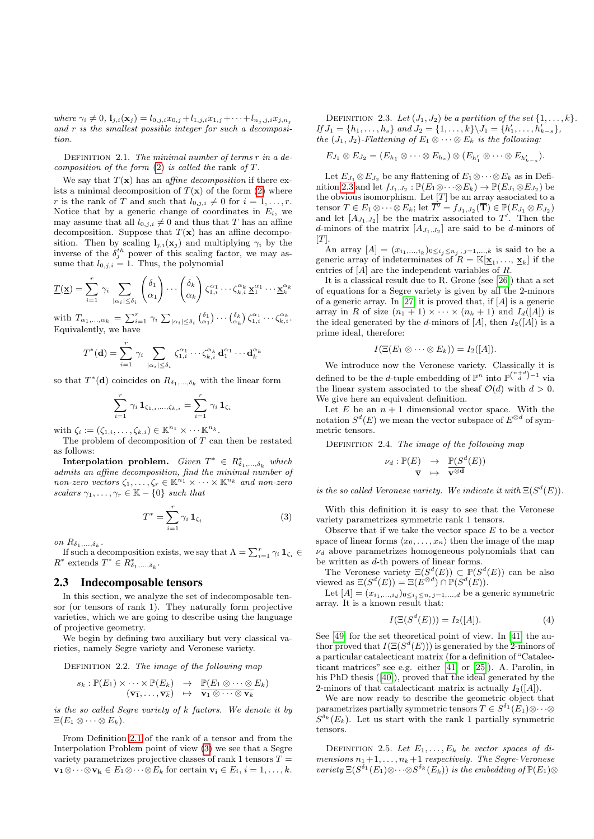where  $\gamma_i \neq 0$ ,  $\mathbf{l}_{j,i}(\mathbf{x}_j) = l_{0,j,i}x_{0,j} + l_{1,j,i}x_{1,j} + \cdots + l_{n_j,j,i}x_{j,n_j}$ and r is the smallest possible integer for such a decomposition.

DEFINITION 2.1. The minimal number of terms  $r$  in a decomposition of the form  $(2)$  is called the rank of T.

We say that  $T(\mathbf{x})$  has an *affine decomposition* if there exists a minimal decomposition of  $T(\mathbf{x})$  of the form (2) where r is the rank of T and such that  $l_{0,j,i} \neq 0$  for  $i = 1, \ldots, r$ . Notice that by a generic change of coordinates in  $E_i$ , we may assume that all  $l_{0,j,i} \neq 0$  and thus that T has an affine decomposition. Suppose that  $T(\mathbf{x})$  has an affine decomposition. Then by scaling  $l_{j,i}(\mathbf{x}_j)$  and multiplying  $\gamma_i$  by the inverse of the  $\delta_j^{th}$  power of this scaling factor, we may assume that  $l_{0,j,i} = 1$ . Thus, the polynomial

$$
\underline{T}(\underline{\mathbf{x}}) = \sum_{i=1}^r \gamma_i \sum_{|\alpha_i| \leq \delta_i} \binom{\delta_1}{\alpha_1} \cdots \binom{\delta_k}{\alpha_k} \zeta_{1,i}^{\alpha_1} \cdots \zeta_{k,i}^{\alpha_k} \underline{\mathbf{x}}_1^{\alpha_1} \cdots \underline{\mathbf{x}}_k^{\alpha_k}
$$

with  $T_{\alpha_1,\dots,\alpha_k} = \sum_{i=1}^r \gamma_i \sum_{|\alpha_i| \leq \delta_i} { \delta_1 \choose \alpha_1} \cdots \binom{\delta_k}{\alpha_k} \zeta_{1,i}^{\alpha_1} \cdots \zeta_{k,i}^{\alpha_k}$ . Equivalently, we have

$$
T^*(\mathbf{d}) = \sum_{i=1}^r \gamma_i \sum_{|\alpha_i| \leq \delta_i} \zeta_{1,i}^{\alpha_1} \cdots \zeta_{k,i}^{\alpha_k} \mathbf{d}_1^{\alpha_1} \cdots \mathbf{d}_k^{\alpha_k}
$$

so that  $T^*({\bf d})$  coincides on  $R_{\delta_1,\ldots,\delta_k}$  with the linear form

$$
\sum_{i=1}^{r} \gamma_i \, \mathbf{1}_{\zeta_{1,i},...,\zeta_{k,i}} = \sum_{i=1}^{r} \gamma_i \, \mathbf{1}_{\zeta_i}
$$

with  $\zeta_i := (\zeta_{1,i}, \ldots, \zeta_{k,i}) \in \mathbb{K}^{n_1} \times \cdots \mathbb{K}^{n_k}$ .

The problem of decomposition of  $T$  can then be restated as follows:

**Interpolation problem.** Given  $T^* \in R^*_{\delta_1,\ldots,\delta_k}$  which admits an affine decomposition, find the minimal number of non-zero vectors  $\zeta_1, \ldots, \zeta_r \in \mathbb{K}^{n_1} \times \cdots \times \mathbb{K}^{n_k}$  and non-zero scalars  $\gamma_1, \ldots, \gamma_r \in \mathbb{K} - \{0\}$  such that

$$
T^* = \sum_{i=1}^r \gamma_i \mathbf{1}_{\zeta_i} \tag{3}
$$

on  $R_{\delta_1,\ldots,\delta_k}$ .

If such a decomposition exists, we say that  $\Lambda = \sum_{i=1}^r \gamma_i \mathbf{1}_{\zeta_i} \in$  \* extends  $T^* \in R^*_{\delta_1, ..., \delta_k}$ .  $R^*$  extends  $T^* \in \mathbb{R}^*_{\delta_1,\ldots,\delta_k}$ 

### 2.3 Indecomposable tensors

In this section, we analyze the set of indecomposable tensor (or tensors of rank 1). They naturally form projective varieties, which we are going to describe using the language of projective geometry.

We begin by defining two auxiliary but very classical varieties, namely Segre variety and Veronese variety.

DEFINITION 2.2. The image of the following map

$$
s_k: \mathbb{P}(E_1) \times \cdots \times \mathbb{P}(E_k) \rightarrow \mathbb{P}(E_1 \otimes \cdots \otimes E_k) \n(\overline{\mathbf{v}_1}, \ldots, \overline{\mathbf{v}_k}) \rightarrow \overline{\mathbf{v}_1 \otimes \cdots \otimes \mathbf{v}_k}
$$

is the so called Segre variety of k factors. We denote it by  $\Xi(E_1 \otimes \cdots \otimes E_k).$ 

From Definition 2.1 of the rank of a tensor and from the Interpolation Problem point of view (3) we see that a Segre variety parametrizes projective classes of rank 1 tensors  $T =$  $\mathbf{v}_1 \otimes \cdots \otimes \mathbf{v}_k \in E_1 \otimes \cdots \otimes E_k$  for certain  $\mathbf{v}_i \in E_i$ ,  $i = 1, \ldots, k$ .

DEFINITION 2.3. Let  $(J_1, J_2)$  be a partition of the set  $\{1, \ldots, k\}$ . If  $J_1 = \{h_1, \ldots, h_s\}$  and  $J_2 = \{1, \ldots, k\} \backslash J_1 = \{h'_1, \ldots, h'_{k-s}\},\$ the  $(J_1, J_2)$ -Flattening of  $E_1 \otimes \cdots \otimes E_k$  is the following:

$$
E_{J_1} \otimes E_{J_2} = (E_{h_1} \otimes \cdots \otimes E_{h_s}) \otimes (E_{h'_1} \otimes \cdots \otimes E_{h'_{k-s}}).
$$

Let  $E_{J_1} \otimes E_{J_2}$  be any flattening of  $E_1 \otimes \cdots \otimes E_k$  as in Definition 2.3 and let  $f_{J_1,J_2} : \mathbb{P}(E_1 \otimes \cdots \otimes E_k) \to \mathbb{P}(E_{J_1} \otimes E_{J_2})$  be the obvious isomorphism. Let  $[T]$  be an array associated to a tensor  $T \in E_1 \otimes \cdots \otimes E_k$ ; let  $\overline{T'} = f_{J_1, J_2}(\overline{T}) \in \mathbb{P}(E_{J_1} \otimes E_{J_2})$ and let  $[A_{J_1,J_2}]$  be the matrix associated to  $T'$ . Then the d-minors of the matrix  $[A_{J_1,J_2}]$  are said to be d-minors of  $[T]$ .

An array  $[A] = (x_{i_1,...,i_k})_{0 \le i_j \le n_j, j=1,...,k}$  is said to be a generic array of indeterminates of  $R = \mathbb{K}[\underline{\mathbf{x}}_1, \dots, \underline{\mathbf{x}}_k]$  if the entries of  $[A]$  are the independent variables of  $R$ .

It is a classical result due to R. Grone (see [26]) that a set of equations for a Segre variety is given by all the 2-minors of a generic array. In [27] it is proved that, if  $[A]$  is a generic array in R of size  $(n_1 + 1) \times \cdots \times (n_k + 1)$  and  $I_d([A])$  is the ideal generated by the d-minors of [A], then  $I_2([A])$  is a prime ideal, therefore:

$$
I(\Xi(E_1\otimes\cdots\otimes E_k))=I_2([A]).
$$

We introduce now the Veronese variety. Classically it is defined to be the *d*-tuple embedding of  $\mathbb{P}^n$  into  $\mathbb{P}^{\binom{n+d}{d}-1}$  via the linear system associated to the sheaf  $\mathcal{O}(d)$  with  $d > 0$ . We give here an equivalent definition.

Let  $E$  be an  $n + 1$  dimensional vector space. With the notation  $S^d(E)$  we mean the vector subspace of  $E^{\otimes d}$  of symmetric tensors.

DEFINITION 2.4. The image of the following map

$$
\nu_d: \mathbb{P}(E) \rightarrow \mathbb{P}(S^d(E))
$$
  

$$
\overline{\mathbf{v}} \mapsto \overline{\mathbf{v}^{\otimes d}}
$$

is the so called Veronese variety. We indicate it with  $\Xi(S^d(E))$ .

With this definition it is easy to see that the Veronese variety parametrizes symmetric rank 1 tensors.

Observe that if we take the vector space  $E$  to be a vector space of linear forms  $\langle x_0, \ldots, x_n \rangle$  then the image of the map  $\nu_d$  above parametrizes homogeneous polynomials that can be written as d-th powers of linear forms.

The Veronese variety  $\Xi(S^d(E)) \subset \mathbb{P}(S^d(E))$  can be also viewed as  $\Xi(S^d(E)) = \Xi(E^{\otimes d}) \cap \mathbb{P}(S^d(E)).$ 

Let  $[A] = (x_{i_1,\ldots,i_d})_{0 \le i_j \le n, j=1,\ldots,d}$  be a generic symmetric array. It is a known result that:

$$
I(\Xi(S^d(E))) = I_2([A]).
$$
 (4)

See [49] for the set theoretical point of view. In [41] the author proved that  $I(\Xi(S^d(E)))$  is generated by the 2-minors of a particular catalecticant matrix (for a definition of "Catalecticant matrices" see e.g. either [41] or [25]). A. Parolin, in his PhD thesis ([40]), proved that the ideal generated by the 2-minors of that catalecticant matrix is actually  $I_2([A])$ .

We are now ready to describe the geometric object that parametrizes partially symmetric tensors  $T \in S^{\delta_1}(E_1) \otimes \cdots \otimes$  $S^{\delta_k}(E_k)$ . Let us start with the rank 1 partially symmetric tensors.

DEFINITION 2.5. Let  $E_1, \ldots, E_k$  be vector spaces of dimensions  $n_1+1, \ldots, n_k+1$  respectively. The Segre-Veronese variety  $\Xi(S^{\delta_1}(E_1) \otimes \cdots \otimes S^{\delta_k}(E_k))$  is the embedding of  $\mathbb{P}(E_1) \otimes$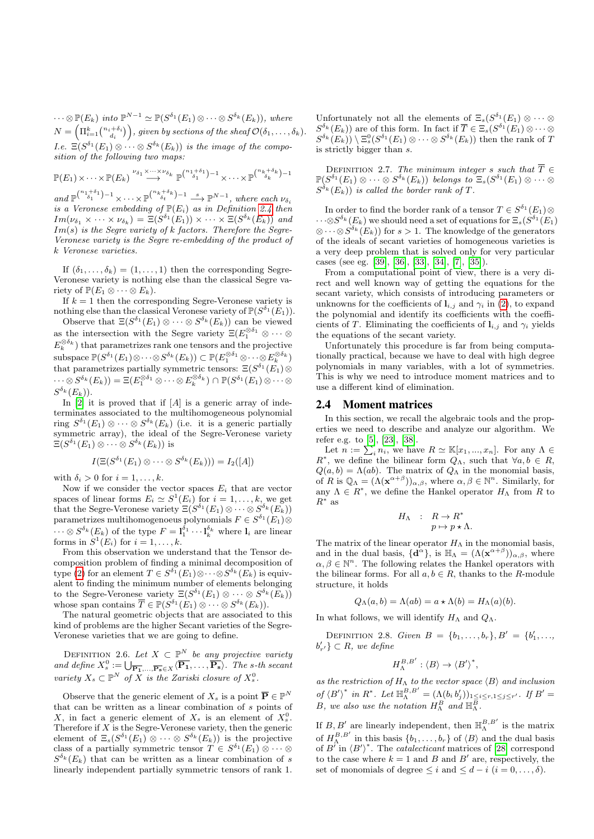$\cdots \otimes \mathbb{P}(E_k)$  into  $\mathbb{P}^{N-1} \simeq \mathbb{P}(S^{\delta_1}(E_1) \otimes \cdots \otimes S^{\delta_k}(E_k)),$  where  $N = \left(\Pi_{i=1}^k\binom{n_i+\delta_i}{d_i}\right)$ , given by sections of the sheaf  $\mathcal{O}(\delta_1,\ldots,\delta_k)$ . *I.e.*  $\Xi(S^{\delta_1}(E_1) \otimes \cdots \otimes S^{\delta_k}(E_k))$  is the image of the composition of the following two maps:

$$
\mathbb{P}(E_1)\times\cdots\times\mathbb{P}(E_k)\stackrel{\nu_{\delta_1}\times\cdots\times\nu_{\delta_k}}{\longrightarrow}\mathbb{P}^{\binom{n_1+\delta_1}{\delta_1}-1}\times\cdots\times\mathbb{P}^{\binom{n_k+\delta_k}{\delta_k}-1}
$$

and  $\mathbb{P}^{n+\delta_1-\delta_1}(\mathbb{Z}^n)$   $\longrightarrow$   $\mathbb{P}^{n+\delta_k-\delta_k}$   $\longrightarrow$   $\mathbb{P}^{N-1}$ , where each  $\nu_{\delta_i}$ is a Veronese embedding of  $\mathbb{P}(E_i)$  as in Definition 2.4 then  $Im(\nu_{\delta_1} \times \cdots \times \nu_{\delta_k}) = \Xi(S^{\delta_1}(E_1)) \times \cdots \times \Xi(S^{\delta_k}(E_k))$  and  $Im(s)$  is the Segre variety of k factors. Therefore the Segre-Veronese variety is the Segre re-embedding of the product of k Veronese varieties.

If  $(\delta_1, \ldots, \delta_k) = (1, \ldots, 1)$  then the corresponding Segre-Veronese variety is nothing else than the classical Segre variety of  $\mathbb{P}(E_1 \otimes \cdots \otimes E_k)$ .

If  $k = 1$  then the corresponding Segre-Veronese variety is nothing else than the classical Veronese variety of  $\mathbb{P}(S^{\delta_1}(E_1)).$ 

Observe that  $\Xi(S^{\delta_1}(E_1) \otimes \cdots \otimes S^{\delta_k}(E_k))$  can be viewed as the intersection with the Segre variety  $\Xi(E_1^{\otimes \delta_1} \otimes \cdots \otimes$  $E_k^{\otimes \delta_k}$ ) that parametrizes rank one tensors and the projective subspace  $\mathbb{P}(S^{\delta_1}(E_1) \otimes \cdots \otimes S^{\delta_k}(E_k)) \subset \mathbb{P}(E_1^{\otimes \delta_1} \otimes \cdots \otimes E_k^{\otimes \delta_k})$ that parametrizes partially symmetric tensors:  $\Xi(S^{\delta_1}(E_1) \otimes$  $\cdots \otimes S^{\delta_k}(E_k)) = \Xi(E_1^{\otimes \delta_1} \otimes \cdots \otimes E_k^{\otimes \delta_k}) \cap \mathbb{P}(S^{\delta_1}(E_1) \otimes \cdots \otimes E_k)$  $S^{\delta_k}(E_k)).$ 

In  $[2]$  it is proved that if  $[A]$  is a generic array of indeterminates associated to the multihomogeneous polynomial ring  $S^{\delta_1}(E_1) \otimes \cdots \otimes S^{\delta_k}(E_k)$  (i.e. it is a generic partially symmetric array), the ideal of the Segre-Veronese variety  $\Xi(S^{\delta_1}(E_1)\otimes\cdots\otimes S^{\delta_k}(E_k))$  is

$$
I(\Xi(S^{\delta_1}(E_1)\otimes\cdots\otimes S^{\delta_k}(E_k)))=I_2([A])
$$

with  $\delta_i > 0$  for  $i = 1, \ldots, k$ .

Now if we consider the vector spaces  $E_i$  that are vector spaces of linear forms  $E_i \simeq S^1(E_i)$  for  $i = 1, \ldots, k$ , we get that the Segre-Veronese variety  $\Xi(S^{\delta_1}(E_1) \otimes \cdots \otimes S^{\delta_k}(E_k))$ parametrizes multihomogenoeus polynomials  $F \in S^{\delta_1}(E_1) \otimes$  $\cdots \otimes S^{\delta_k}(E_k)$  of the type  $F = 1_1^{\delta_1} \cdots 1_k^{\delta_k}$  where  $1_i$  are linear forms in  $S^1(E_i)$  for  $i = 1, \ldots, k$ .

From this observation we understand that the Tensor decomposition problem of finding a minimal decomposition of type (2) for an element  $T \in S^{\delta_1}(E_1) \otimes \cdots \otimes S^{\delta_k}(E_k)$  is equivalent to finding the minimum number of elements belonging to the Segre-Veronese variety  $\Xi(S^{\delta_1}(E_1) \otimes \cdots \otimes S^{\delta_k}(E_k))$ whose span contains  $\overline{T} \in \mathbb{P}(S^{\delta_1}(E_1) \otimes \cdots \otimes S^{\delta_k}(E_k)).$ 

The natural geometric objects that are associated to this kind of problems are the higher Secant varieties of the Segre-Veronese varieties that we are going to define.

DEFINITION 2.6. Let  $X \subset \mathbb{P}^N$  be any projective variety and define  $X_s^0 := \bigcup_{\overline{P_1},\ldots,\overline{P_s} \in X} \langle \overline{P_1},\ldots,\overline{P_s} \rangle$ . The s-th secant variety  $X_s \subset \mathbb{P}^N$  of  $\overline{X}$  is the Zariski closure of  $X_s^0$ .

Observe that the generic element of  $X_s$  is a point  $\overline{\mathbf{P}} \in \mathbb{P}^N$ that can be written as a linear combination of s points of X, in fact a generic element of  $X_s$  is an element of  $X_s^0$ . Therefore if  $X$  is the Segre-Veronese variety, then the generic element of  $\Xi_s(S^{\delta_1}(E_1) \otimes \cdots \otimes S^{\delta_k}(E_k))$  is the projective class of a partially symmetric tensor  $T \in S^{\delta_1}(E_1) \otimes \cdots \otimes$  $S^{\delta_k}(E_k)$  that can be written as a linear combination of s linearly independent partially symmetric tensors of rank 1.

Unfortunately not all the elements of  $\Xi_s(S^{\delta_1}(E_1) \otimes \cdots \otimes$  $S^{\delta_k}(E_k)$  are of this form. In fact if  $\overline{T} \in \Xi_s(S^{\delta_1}(E_1) \otimes \cdots \otimes$  $S^{\delta_k}(E_k)$   $\setminus \Xi_s^0(S^{\delta_1}(E_1) \otimes \cdots \otimes S^{\delta_k}(E_k))$  then the rank of T is strictly bigger than  $s$ .

DEFINITION 2.7. The minimum integer s such that  $\overline{T} \in$  $\mathbb{P}(S^{\delta_1}(E_1) \otimes \cdots \otimes S^{\delta_k}(E_k))$  belongs to  $\Xi_s(S^{\delta_1}(E_1) \otimes \cdots \otimes$  $S^{\delta_k}(E_k)$ ) is called the border rank of T.

In order to find the border rank of a tensor  $T \in S^{\delta_1}(E_1) \otimes$  $\cdots \otimes S^{\delta_k}(E_k)$  we should need a set of equations for  $\Xi_s(S^{\delta_1}(E_1))$  $\otimes \cdots \otimes S^{\delta_k}(E_k)$  for  $s > 1$ . The knowledge of the generators of the ideals of secant varieties of homogeneous varieties is a very deep problem that is solved only for very particular cases (see eg. [39], [36], [33], [34], [7], [35]).

From a computational point of view, there is a very direct and well known way of getting the equations for the secant variety, which consists of introducing parameters or unknowns for the coefficients of  $l_{i,j}$  and  $\gamma_i$  in (2), to expand the polynomial and identify its coefficients with the coefficients of T. Eliminating the coefficients of  $\mathbf{l}_{i,j}$  and  $\gamma_i$  yields the equations of the secant variety.

Unfortunately this procedure is far from being computationally practical, because we have to deal with high degree polynomials in many variables, with a lot of symmetries. This is why we need to introduce moment matrices and to use a different kind of elimination.

#### 2.4 Moment matrices

In this section, we recall the algebraic tools and the properties we need to describe and analyze our algorithm. We refer e.g. to [5], [23], [38].

Let  $n := \sum_{i} n_i$ , we have  $R \simeq \mathbb{K}[x_1, ..., x_n]$ . For any  $\Lambda \in$  $R^*$ , we define the bilinear form  $Q_{\Lambda}$ , such that  $\forall a, b \in R$ ,  $Q(a, b) = \Lambda(ab)$ . The matrix of  $Q_{\Lambda}$  in the monomial basis, of R is  $\mathbb{Q}_{\Lambda} = (\Lambda(\mathbf{x}^{\alpha+\beta}))_{\alpha,\beta}$ , where  $\alpha, \beta \in \mathbb{N}^n$ . Similarly, for any  $\Lambda \in R^*$ , we define the Hankel operator  $H_{\Lambda}$  from R to  $R^*$  as

$$
H_{\Lambda} : R \to R^*
$$

$$
p \mapsto p \star \Lambda.
$$

The matrix of the linear operator  $H_{\Lambda}$  in the monomial basis, and in the dual basis,  $\{d^{\alpha}\}\$ , is  $\mathbb{H}_{\Lambda} = (\Lambda(\mathbf{x}^{\alpha+\beta}))_{\alpha,\beta}$ , where  $\alpha, \beta \in \mathbb{N}^n$ . The following relates the Hankel operators with the bilinear forms. For all  $a, b \in R$ , thanks to the R-module structure, it holds

$$
Q_{\Lambda}(a,b) = \Lambda(ab) = a \star \Lambda(b) = H_{\Lambda}(a)(b).
$$

In what follows, we will identify  $H_\Lambda$  and  $Q_\Lambda$ .

DEFINITION 2.8. Given  $B = \{b_1, \ldots, b_r\}, B' = \{b'_1, \ldots, b_r\}$  $b'_{r'}\}\subset R$ , we define

$$
H_{\Lambda}^{B,B'}:\langle B\rangle\to \langle B'\rangle^*,
$$

as the restriction of  $H_{\Lambda}$  to the vector space  $\langle B \rangle$  and inclusion of  $\langle B' \rangle^*$  in  $R^*$ . Let  $\mathbb{H}_{\Lambda}^{B,B'} = (\Lambda(b_i b'_j))_{1 \leq i \leq r, 1 \leq j \leq r'}$ . If  $B' =$ B, we also use the notation  $H_{\Lambda}^B$  and  $\mathbb{H}_{\Lambda}^{\overline{B}}$ .

If  $B, B'$  are linearly independent, then  $\mathbb{H}_{\Lambda}^{B, B'}$  is the matrix of  $H_{\Lambda}^{B,B'}$  in this basis  $\{b_1,\ldots,b_r\}$  of  $\langle B \rangle$  and the dual basis of  $B'$  in  $\langle B' \rangle^*$ . The *catalecticant* matrices of [28] correspond to the case where  $k = 1$  and B and B' are, respectively, the set of monomials of degree  $\leq i$  and  $\leq d - i$   $(i = 0, \ldots, \delta)$ .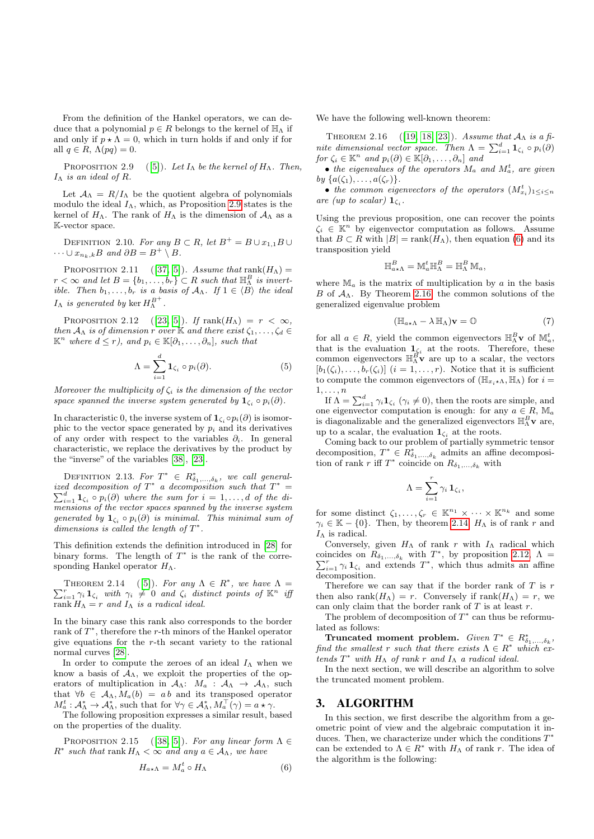From the definition of the Hankel operators, we can deduce that a polynomial  $p \in R$  belongs to the kernel of  $\mathbb{H}_{\Lambda}$  if and only if  $p \star \Lambda = 0$ , which in turn holds if and only if for all  $q \in R$ ,  $\Lambda(pq) = 0$ .

PROPOSITION 2.9 ([5]). Let  $I_{\Lambda}$  be the kernel of  $H_{\Lambda}$ . Then,  $I_\Lambda$  is an ideal of R.

Let  $A_{\Lambda} = R/I_{\Lambda}$  be the quotient algebra of polynomials modulo the ideal  $I_{\Lambda}$ , which, as Proposition 2.9 states is the kernel of  $H_{\Lambda}$ . The rank of  $H_{\Lambda}$  is the dimension of  $\mathcal{A}_{\Lambda}$  as a K-vector space.

DEFINITION 2.10. For any  $B \subset R$ , let  $B^+ = B \cup x_{1,1}B \cup$  $\cdots \cup x_{n_k,k}B$  and  $\partial B = B^+ \setminus B$ .

PROPOSITION 2.11 ([37, 5]). Assume that rank $(H_{\Lambda}) =$  $r < \infty$  and let  $B = \{b_1, \ldots, b_r\} \subset R$  such that  $\mathbb{H}^B_{\Lambda}$  is invertible. Then  $b_1, \ldots, b_r$  is a basis of  $A_\Lambda$ . If  $1 \in \langle B \rangle$  the ideal  $I_{\Lambda}$  is generated by  $\ker H_{\Lambda}^{B^{+}}$ .

PROPOSITION 2.12 ([23, 5]). If  $\text{rank}(H_{\Lambda}) = r < \infty$ , then  $A_{\Lambda}$  is of dimension r over K and there exist  $\zeta_1, \ldots, \zeta_d \in$  $\mathbb{K}^n$  where  $d \leq r$ , and  $p_i \in \mathbb{K}[\partial_1,\ldots,\partial_n]$ , such that

$$
\Lambda = \sum_{i=1}^{d} \mathbf{1}_{\zeta_i} \circ p_i(\partial). \tag{5}
$$

Moreover the multiplicity of  $\zeta_i$  is the dimension of the vector space spanned the inverse system generated by  $\mathbf{1}_{\zeta_i} \circ p_i(\partial)$ .

In characteristic 0, the inverse system of  $\mathbf{1}_{\zeta_i} \circ p_i(\partial)$  is isomorphic to the vector space generated by  $p_i$  and its derivatives of any order with respect to the variables  $\partial_i$ . In general characteristic, we replace the derivatives by the product by the "inverse" of the variables [38], [23].

DEFINITION 2.13. For  $T^* \in R^*_{\delta_1,\ldots,\delta_k}$ , we call generalized decomposition of  $T^*$  a decomposition such that  $T^*$ ized decomposition of  $T^*$  a decomposition such that  $T^* = \sum_{i=1}^d \mathbf{1}_{\zeta_i} \circ p_i(\partial)$  where the sum for  $i = 1, \ldots, d$  of the dimensions of the vector spaces spanned by the inverse system generated by  $\mathbf{1}_{\zeta_i} \circ p_i(\partial)$  is minimal. This minimal sum of dimensions is called the length of  $T^*$ .

This definition extends the definition introduced in [28] for binary forms. The length of  $T^*$  is the rank of the corresponding Hankel operator  $H_{\Lambda}$ .

THEOREM 2.14 ([5]). For any  $\Lambda \in R^*$ , we have  $\Lambda =$  $\sum_{i=1}^r \gamma_i \mathbf{1}_{\zeta_i}$  with  $\gamma_i \neq 0$  and  $\zeta_i$  distinct points of  $\mathbb{K}^n$  if rank  $H_{\Lambda} = r$  and  $I_{\Lambda}$  is a radical ideal.

In the binary case this rank also corresponds to the border rank of  $T^*$ , therefore the r-th minors of the Hankel operator give equations for the r-th secant variety to the rational normal curves [28].

In order to compute the zeroes of an ideal  $I_{\Lambda}$  when we know a basis of  $A_{\Lambda}$ , we exploit the properties of the operators of multiplication in  $A_{\Lambda}$ :  $M_a$  :  $A_{\Lambda} \rightarrow A_{\Lambda}$ , such that  $\forall b \in A_{\Lambda}, M_a(b) = ab$  and its transposed operator  $M_a^t: \mathcal{A}_\Lambda^* \to \mathcal{A}_\Lambda^*$ , such that for  $\forall \gamma \in \mathcal{A}_\Lambda^*, M_a^\top(\gamma) = a \star \gamma$ .

The following proposition expresses a similar result, based on the properties of the duality.

PROPOSITION 2.15 ([38, 5]). For any linear form  $\Lambda \in$  $R^*$  such that rank  $H_\Lambda < \infty$  and any  $a \in \mathcal{A}_\Lambda$ , we have

$$
H_{a \star \Lambda} = M_a^t \circ H_\Lambda \tag{6}
$$

We have the following well-known theorem:

THEOREM 2.16 ([19, 18, 23]). Assume that  $A_{\Lambda}$  is a finite dimensional vector space. Then  $\Lambda = \sum_{i=1}^{d} \mathbf{1}_{\zeta_i} \circ p_i(\partial)$ for  $\zeta_i \in \mathbb{K}^n$  and  $p_i(\partial) \in \mathbb{K}[\partial_1, \ldots, \partial_n]$  and

• the eigenvalues of the operators  $M_a$  and  $M_a^t$ , are given by  $\{a(\zeta_1), \ldots, a(\zeta_r)\}.$ 

• the common eigenvectors of the operators  $(M_{x_i}^t)_{1\leq i\leq n}$ are (up to scalar)  $\mathbf{1}_{\zeta_i}$ .

Using the previous proposition, one can recover the points  $\zeta_i \in \mathbb{K}^n$  by eigenvector computation as follows. Assume that  $B \subset R$  with  $|B| = \text{rank}(H_\Lambda)$ , then equation (6) and its transposition yield

$$
\mathbb{H}^B_{a\star\Lambda}=\mathbb{M}_a^t\mathbb{H}^B_{\Lambda}=\mathbb{H}^B_{\Lambda}\mathbb{M}_a,
$$

where  $\mathbb{M}_a$  is the matrix of multiplication by a in the basis B of  $A_{\Lambda}$ . By Theorem 2.16, the common solutions of the generalized eigenvalue problem

$$
(\mathbb{H}_{a \star \Lambda} - \lambda \mathbb{H}_{\Lambda})\mathbf{v} = \mathbb{O}
$$
 (7)

for all  $a \in R$ , yield the common eigenvectors  $\mathbb{H}_{\Lambda}^B$ **v** of  $\mathbb{M}_a^t$ , that is the evaluation  $\mathbf{1}_{\zeta_i}$  at the roots. Therefore, these common eigenvectors  $\mathbb{H}_{\Lambda}^{\overrightarrow{B}}$  are up to a scalar, the vectors  $[b_1(\zeta_i), \ldots, b_r(\zeta_i)]$   $(i = 1, \ldots, r)$ . Notice that it is sufficient to compute the common eigenvectors of  $(\mathbb{H}_{x_i \star \Lambda}, \mathbb{H}_{\Lambda})$  for  $i =$  $1, \ldots, n$ 

If  $\Lambda = \sum_{i=1}^{d} \gamma_i \mathbf{1}_{\zeta_i}$  ( $\gamma_i \neq 0$ ), then the roots are simple, and one eigenvector computation is enough: for any  $a \in R$ ,  $\mathbb{M}_a$ is diagonalizable and the generalized eigenvectors  $\mathbb{H}^B_\Lambda \mathbf{v}$  are, up to a scalar, the evaluation  $\mathbf{1}_{\zeta_i}$  at the roots.

Coming back to our problem of partially symmetric tensor decomposition,  $T^* \in R^*_{\delta_1,\ldots,\delta_k}$  admits an affine decomposition of rank r iff  $T^*$  coincide on  $R_{\delta_1,\ldots,\delta_k}$  with

$$
\Lambda = \sum_{i=1}^r \gamma_i \, \mathbf{1}_{\zeta_i},
$$

for some distinct  $\zeta_1, \ldots, \zeta_r \in \mathbb{K}^{n_1} \times \cdots \times \mathbb{K}^{n_k}$  and some  $\gamma_i \in \mathbb{K} - \{0\}$ . Then, by theorem 2.14,  $H_\Lambda$  is of rank r and  $I_{\Lambda}$  is radical.

Conversely, given  $H_{\Lambda}$  of rank r with  $I_{\Lambda}$  radical which coincides on  $R_{\delta_1,...,\delta_k}$  with  $T^*$ , by proposition 2.12,  $\Lambda$  =  $\sum_{i=1}^r \gamma_i \mathbf{1}_{\zeta_i}$  and extends  $T^*$ , which thus admits an affine decomposition.

Therefore we can say that if the border rank of  $T$  is  $r$ then also rank $(H_{\Lambda}) = r$ . Conversely if rank $(H_{\Lambda}) = r$ , we can only claim that the border rank of  $T$  is at least  $r$ .

The problem of decomposition of  $T^*$  can thus be reformulated as follows:

Truncated moment problem. Given  $T^* \in R^*_{\delta_1,\ldots,\delta_k}$ , find the smallest r such that there exists  $\Lambda \in R^*$  which extends  $T^*$  with  $H_{\Lambda}$  of rank r and  $I_{\Lambda}$  a radical ideal.

In the next section, we will describe an algorithm to solve the truncated moment problem.

### 3. ALGORITHM

In this section, we first describe the algorithm from a geometric point of view and the algebraic computation it induces. Then, we characterize under which the conditions  $T^*$ can be extended to  $\Lambda \in R^*$  with  $H_\Lambda$  of rank r. The idea of the algorithm is the following: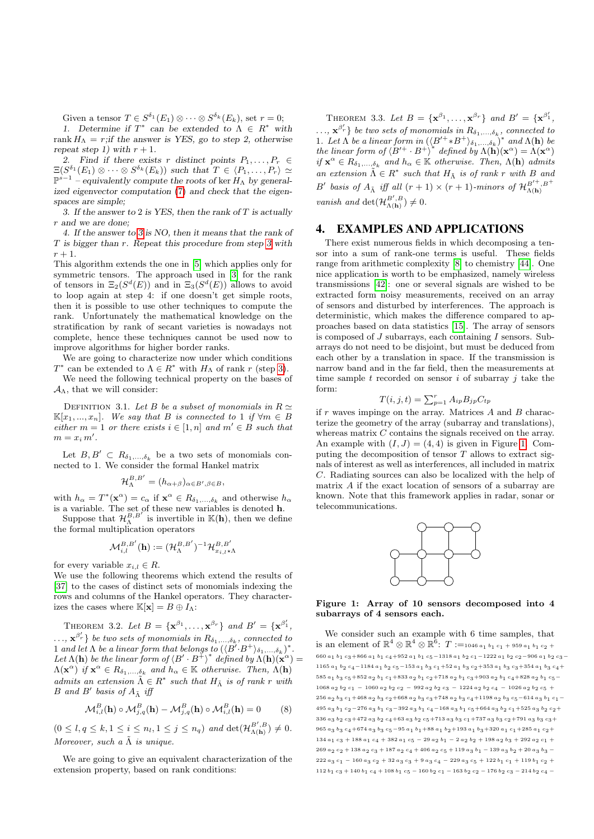Given a tensor  $T \in S^{\delta_1}(E_1) \otimes \cdots \otimes S^{\delta_k}(E_k)$ , set  $r = 0$ ;

1. Determine if  $T^*$  can be extended to  $\Lambda \in R^*$  with rank  $H_{\Lambda} = r$ ;if the answer is YES, go to step 2, otherwise repeat step 1) with  $r + 1$ .

2. Find if there exists r distinct points  $P_1, \ldots, P_r \in$  $\Xi(S^{\delta_1}(E_1) \otimes \cdots \otimes S^{\delta_k}(E_k))$  such that  $T \in \langle P_1, \ldots, P_r \rangle \simeq$  $\mathbb{P}^{s-1}$  – equivalently compute the roots of ker  $H_{\Lambda}$  by generalized eigenvector computation (7) and check that the eigenspaces are simple;

3. If the answer to 2 is YES, then the rank of  $T$  is actually r and we are done;

4. If the answer to 3 is NO, then it means that the rank of T is bigger than r. Repeat this procedure from step 3 with  $r+1$ .

This algorithm extends the one in [5] which applies only for symmetric tensors. The approach used in [3] for the rank of tensors in  $\Xi_2(S^d(E))$  and in  $\Xi_3(S^d(E))$  allows to avoid to loop again at step 4: if one doesn't get simple roots, then it is possible to use other techniques to compute the rank. Unfortunately the mathematical knowledge on the stratification by rank of secant varieties is nowadays not complete, hence these techniques cannot be used now to improve algorithms for higher border ranks.

We are going to characterize now under which conditions  $T^*$  can be extended to  $\Lambda \in R^*$  with  $H_\Lambda$  of rank r (step 3).

We need the following technical property on the bases of  $A_{\Lambda}$ , that we will consider:

DEFINITION 3.1. Let B be a subset of monomials in  $R \simeq$  $\mathbb{K}[x_1, ..., x_n]$ . We say that B is connected to 1 if  $\forall m \in B$ either  $m = 1$  or there exists  $i \in [1, n]$  and  $m' \in B$  such that  $m = x_i m'$ .

Let  $B, B' \subset R_{\delta_1,\ldots,\delta_k}$  be a two sets of monomials connected to 1. We consider the formal Hankel matrix

$$
\mathcal{H}_{\Lambda}^{B,B'}=(h_{\alpha+\beta})_{\alpha\in B',\beta\in B},
$$

with  $h_{\alpha} = T^*(\mathbf{x}^{\alpha}) = c_{\alpha}$  if  $\mathbf{x}^{\alpha} \in R_{\delta_1,\dots,\delta_k}$  and otherwise  $h_{\alpha}$ is a variable. The set of these new variables is denoted h.

Suppose that  $\mathcal{H}_{\Lambda}^{B,B'}$  is invertible in  $\mathbb{K}(\mathbf{h})$ , then we define the formal multiplication operators

$$
\mathcal{M}^{B,B'}_{i,l}(\mathbf{h}):=(\mathcal{H}^{B,B'}_{\Lambda})^{-1}\mathcal{H}^{B,B'}_{x_{i,l}\star\Lambda}
$$

for every variable  $x_{i,l} \in R$ .

We use the following theorems which extend the results of [37] to the cases of distinct sets of monomials indexing the rows and columns of the Hankel operators. They characterizes the cases where  $\mathbb{K}[\mathbf{x}] = B \oplus I_\Lambda$ :

THEOREM 3.2. Let  $B = {\mathbf{x}^{\beta_1}, \dots, \mathbf{x}^{\beta_r}}$  and  $B' = {\mathbf{x}^{\beta'_1}}$ ,  $\ldots, \mathbf{x}^{\beta_r'}\}$  be two sets of monomials in  $R_{\delta_1,\ldots,\delta_k}$ , connected to 1 and let  $\Lambda$  be a linear form that belongs to  $(\langle B\ddot{B} \cdot B^+ \rangle_{\delta_1,\ldots,\delta_k})^*$ . Let  $\Lambda(\mathbf{h})$  be the linear form of  $\langle B' \cdot B^{\dagger} \rangle^*$  defined by  $\Lambda(\mathbf{h})(\mathbf{x}^{\alpha}) =$  $\Lambda(\mathbf{x}^{\alpha})$  if  $\mathbf{x}^{\alpha} \in R_{\delta_1,\dots,\delta_k}$  and  $h_{\alpha} \in \mathbb{K}$  otherwise. Then,  $\Lambda(\mathbf{h})$ admits an extension  $\tilde{\Lambda} \in R^*$  such that  $H_{\tilde{\Lambda}}$  is of rank r with B and B' basis of  $A_{\tilde{\Lambda}}$  iff

$$
\mathcal{M}_{i,l}^B(\mathbf{h}) \circ \mathcal{M}_{j,q}^B(\mathbf{h}) - \mathcal{M}_{j,q}^B(\mathbf{h}) \circ \mathcal{M}_{i,l}^B(\mathbf{h}) = 0 \tag{8}
$$

 $(0 \leq l, q \leq k, 1 \leq i \leq n_l, 1 \leq j \leq n_q)$  and  $\det(\mathcal{H}_{\Lambda(h)}^{B', B}) \neq 0$ . Moreover, such a  $\tilde{\Lambda}$  is unique.

We are going to give an equivalent characterization of the extension property, based on rank conditions:

THEOREM 3.3. Let  $B = {\mathbf{x}^{\beta_1}, \dots, \mathbf{x}^{\beta_r}}$  and  $B' = {\mathbf{x}^{\beta'_1}}$ ,  $\ldots, \mathbf{x}^{\beta_r'}\}$  be two sets of monomials in  $R_{\delta_1,\ldots,\delta_k}$ , connected to 1. Let  $\Lambda$  be a linear form in  $(\langle B'^+ * B^+ \rangle_{\delta_1,\ldots,\delta_k})^*$  and  $\Lambda(\mathbf{h})$  be the linear form of  $\langle B'^{+} \cdot B^{+} \rangle^*$  defined by  $\Lambda(\mathbf{h})(\mathbf{x}^{\alpha}) = \Lambda(\mathbf{x}^{\alpha})$ if  $\mathbf{x}^{\alpha} \in R_{\delta_1,\dots,\delta_k}$  and  $h_{\alpha} \in \mathbb{K}$  otherwise. Then,  $\Lambda(\mathbf{h})$  admits an extension  $\tilde{\Lambda} \in R^*$  such that  $H_{\tilde{\Lambda}}$  is of rank r with B and B' basis of  $A_{\tilde{\Lambda}}$  iff all  $(r + 1) \times (r + 1)$ -minors of  $\mathcal{H}_{\Lambda(\mathbf{h})}^{B'^+,B^+}$ vanish and  $\det(\mathcal{H}_{\Lambda(\mathbf{h})}^{B',B}) \neq 0$ .

## 4. EXAMPLES AND APPLICATIONS

There exist numerous fields in which decomposing a tensor into a sum of rank-one terms is useful. These fields range from arithmetic complexity [8] to chemistry [44]. One nice application is worth to be emphasized, namely wireless transmissions [42]: one or several signals are wished to be extracted form noisy measurements, received on an array of sensors and disturbed by interferences. The approach is deterministic, which makes the difference compared to approaches based on data statistics [15]. The array of sensors is composed of  $J$  subarrays, each containing  $I$  sensors. Subarrays do not need to be disjoint, but must be deduced from each other by a translation in space. If the transmission is narrow band and in the far field, then the measurements at time sample  $t$  recorded on sensor  $i$  of subarray  $j$  take the form:

$$
T(i, j, t) = \sum_{p=1}^{r} A_{ip} B_{jp} C_{tp}
$$

if  $r$  waves impinge on the array. Matrices  $A$  and  $B$  characterize the geometry of the array (subarray and translations), whereas matrix C contains the signals received on the array. An example with  $(I, J) = (4, 4)$  is given in Figure 1. Computing the decomposition of tensor  $T$  allows to extract signals of interest as well as interferences, all included in matrix C. Radiating sources can also be localized with the help of matrix A if the exact location of sensors of a subarray are known. Note that this framework applies in radar, sonar or telecommunications.



Figure 1: Array of 10 sensors decomposed into 4 subarrays of 4 sensors each.

We consider such an example with 6 time samples, that is an element of  $\mathbb{R}^4 \otimes \mathbb{R}^4 \otimes \mathbb{R}^6$ :  $T :=_{1046 a_1 b_1 c_1 + 959 a_1 b_1 c_2 + 1000 b_1 c_2}$ 660 a1 b1 c3+866 a1 b1 c4+952 a1 b1 c5−1318 a1 b2 c1−1222 a1 b2 c2−906 a1 b2 c3− 1165  $a_1$  b<sub>2</sub>  $c_4$ −1184  $a_1$  b<sub>2</sub>  $c_5$ −153  $a_1$  b<sub>3</sub>  $c_1+52$   $a_1$  b<sub>3</sub>  $c_2+353$   $a_1$  b<sub>3</sub>  $c_3+354$   $a_1$  b<sub>3</sub>  $c_4$ + 585  $a_1$   $b_3$  c<sub>5</sub>+852  $a_2$   $b_1$  c<sub>1</sub>+833  $a_2$   $b_1$  c<sub>2</sub>+718  $a_2$   $b_1$  c<sub>3</sub>+903  $a_2$   $b_1$  c<sub>4</sub>+828  $a_2$   $b_1$  c<sub>5</sub>−  $1068 a_2 b_2 c_1 - 1060 a_2 b_2 c_2 - 992 a_2 b_2 c_3 - 1224 a_2 b_2 c_4 - 1026 a_2 b_2 c_5 +$ 256 a<sub>2</sub> b<sub>3</sub> c<sub>1</sub>+468 a<sub>2</sub> b<sub>3</sub> c<sub>2</sub>+668 a<sub>2</sub> b<sub>3</sub> c<sub>3</sub>+748 a<sub>2</sub> b<sub>3</sub> c<sub>4</sub>+1198 a<sub>2</sub> b<sub>3</sub> c<sub>5</sub>−614 a<sub>3</sub> b<sub>1</sub> c<sub>1</sub>−  $495$  a3 b<sub>1</sub> c<sub>2</sub>−276 a3 b<sub>1</sub> c<sub>3</sub>−392 a<sub>3</sub> b<sub>1</sub> c<sub>4</sub>−168 a3 b<sub>1</sub> c<sub>5</sub>+664 a3 b<sub>2</sub> c<sub>1</sub>+525 a3 b<sub>2</sub> c<sub>2</sub>+  $336$   $a_3$   $b_2$   $c_3$  +472  $a_3$   $b_2$   $c_4$  +63  $a_3$   $b_2$   $c_5$  +713  $a_3$   $b_3$   $c_1$  +737  $a_3$   $b_3$   $c_2$  +791  $a_3$   $b_3$   $c_3$  + 965 a3 b3 c4+674 a3 b3 c5−95 a1 b1+88 a1 b2+193 a1 b3+320 a1 c1+285 a1 c2+  $134 a_1 c_3 + 188 a_1 c_4 + 382 a_1 c_5 - 29 a_2 b_1 - 2 a_2 b_2 + 198 a_2 b_3 + 292 a_2 c_1 +$  $269 a_2 c_2 + 138 a_2 c_3 + 187 a_2 c_4 + 406 a_2 c_5 + 119 a_3 b_1 - 139 a_3 b_2 + 20 a_3 b_3 -$ 222 a<sub>3</sub> c<sub>1</sub> - 160 a<sub>3</sub> c<sub>2</sub> + 32 a<sub>3</sub> c<sub>3</sub> + 9 a<sub>3</sub> c<sub>4</sub> - 229 a<sub>3</sub> c<sub>5</sub> + 122 b<sub>1</sub> c<sub>1</sub> + 119 b<sub>1</sub> c<sub>2</sub> + 112 b<sub>1</sub> c<sub>3</sub> + 140 b<sub>1</sub> c<sub>4</sub> + 108 b<sub>1</sub> c<sub>5</sub> − 160 b<sub>2</sub> c<sub>1</sub> − 163 b<sub>2</sub> c<sub>2</sub> − 176 b<sub>2</sub> c<sub>3</sub> − 214 b<sub>2</sub> c<sub>4</sub> −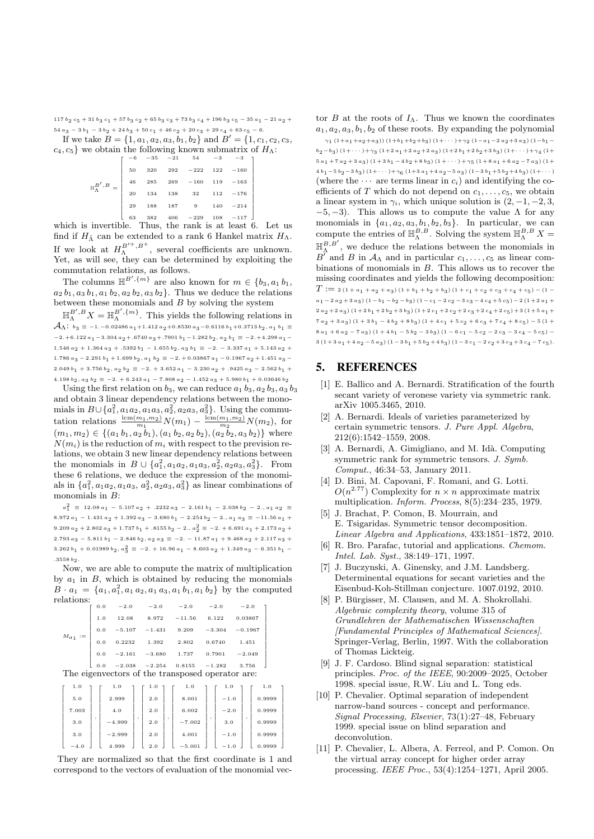117  $b_2 c_5 + 31 b_3 c_1 + 57 b_3 c_2 + 65 b_3 c_3 + 73 b_3 c_4 + 196 b_3 c_5 - 35 a_1 - 21 a_2 +$  $54 a_3 - 3 b_1 - 3 b_2 + 24 b_3 + 50 c_1 + 46 c_2 + 20 c_3 + 29 c_4 + 63 c_5 - 6.$ 

If we take  $B = \{1, a_1, a_2, a_3, b_1, b_2\}$  and  $B' = \{1, c_1, c_2, c_3,$  $c_4, c_5$  we obtain the following known submatrix of  $H_\Lambda$ :

| $\mathbb{H}_{\Lambda}^{B',B}=\left[\begin{array}{cccccc} -6 & -35 & -21 & 54 & -3 & -3 \\[1mm] 50 & 320 & 292 & -222 & 122 & -160 \\[1mm] 46 & 285 & 269 & -160 & 119 & -163 \\[1mm] 20 & 134 & 138 & 32 & 112 & -176 \\[1mm] 29 & 188 & 187 & 9 & 140 & -214 \\[1mm] 63 & 382 & 406 & -229 & 108 & -117 \end{array}\right]$ |  |  |  |
|------------------------------------------------------------------------------------------------------------------------------------------------------------------------------------------------------------------------------------------------------------------------------------------------------------------------------|--|--|--|
|                                                                                                                                                                                                                                                                                                                              |  |  |  |
|                                                                                                                                                                                                                                                                                                                              |  |  |  |
|                                                                                                                                                                                                                                                                                                                              |  |  |  |
|                                                                                                                                                                                                                                                                                                                              |  |  |  |

which is invertible. Thus, the rank is at least 6. Let us find if  $H_{\tilde{\Lambda}}$  can be extended to a rank 6 Hankel matrix  $H_{\Lambda}$ . If we look at  $H_{\Lambda}^{B'+,B^+}$ , several coefficients are unknown. Yet, as will see, they can be determined by exploiting the commutation relations, as follows.

The columns H B<sup>0</sup> ,{m} are also known for m ∈ {b3, a<sup>1</sup> b1,  $a_2 b_1, a_3 b_1, a_1 b_2, a_2 b_2, a_3 b_2$ . Thus we deduce the relations between these monomials and  $B$  by solving the system

 $\mathbb{H}_{\Lambda}^{B',B}X=\mathbb{H}_{\Lambda}^{B',\{m\}}$ . This yields the following relations in  $\mathcal{A}_{\Lambda}: \; {\scriptstyle b}_3 \equiv$  -1.−0.02486  ${\scriptstyle a}_1+$ 1.412  ${\scriptstyle a}_2+$ 0.8530  ${\scriptstyle a}_3$ −0.6116  ${\scriptstyle b}_1+$ 0.3713  ${\scriptstyle b}_2,$   ${\scriptstyle a}_1$   ${\scriptstyle b}_1$   $\equiv$ −2.+6.122  $a_1$  − 3.304  $a_2$  + .6740  $a_3$  + .7901  $b_1$  − 1.282  $b_2$ ,  $a_2$   $b_1 \equiv -2.+4.298$   $a_1$  − 1.546  $a_2 + 1.364 a_3 + .5392 b_1 - 1.655 b_2$ ,  $a_3 b_1 \equiv -2. -3.337 a_1 + 5.143 a_2 +$ 1.786  $a_3 - 2.291 b_1 + 1.699 b_2$ ,  $a_1 b_2 \equiv -2. + 0.03867 a_1 - 0.1967 a_2 + 1.451 a_3$  $2.049 b_1 + 3.756 b_2, a_2 b_2 \equiv -2. + 3.652 a_1 - 3.230 a_2 + .9425 a_3 - 2.562 b_1 +$  $4.198 b_2, a_3 b_2 \equiv -2. + 6.243 a_1 - 7.808 a_2 - 1.452 a_3 + 5.980 b_1 + 0.03646 b_2$ 

Using the first relation on  $b_3$ , we can reduce  $a_1$   $b_3$ ,  $a_2$   $b_3$ ,  $a_3$   $b_3$ and obtain 3 linear dependency relations between the monomials in  $B\cup \{a_1^2, a_1a_2, a_1a_3, a_2^2, a_2a_3, a_3^2\}$ . Using the commutation relations  $\frac{\text{lcm}(m_1, m_2)}{m_1} N(m_1) - \frac{\text{lcm}(m_1, m_2)}{m_2} N(m_2)$ , for  $(m_1, m_2) \in \{(a_1 b_1, a_2 b_1), (a_1 b_2, a_2 b_2), (a_2 b_2, a_3 b_2)\}\$  where  $N(m_i)$  is the reduction of  $m_i$  with respect to the prevision relations, we obtain 3 new linear dependency relations between the monomials in  $B \cup \{a_1^2, a_1 a_2, a_1 a_3, a_2^2, a_2 a_3, a_3^2\}$ . From these 6 relations, we deduce the expression of the monomials in  $\{a_1^2, a_1a_2, a_1a_3, a_2^2, a_2a_3, a_3^2\}$  as linear combinations of monomials in  $B$ :

 $a_1^2$  ≡ 12.08  $a_1$  − 5.107  $a_2$  + .2232  $a_3$  − 2.161  $b_1$  − 2.038  $b_2$  − 2.,  $a_1$   $a_2$  ≡  $8.972 a_1 - 1.431 a_2 + 1.392 a_3 - 3.680 b_1 - 2.254 b_2 - 2., a_1 a_3 \equiv -11.56 a_1 +$ 9.209  $a_2 + 2.802 a_3 + 1.737 b_1 + .8155 b_2 - 2., a_2^2 \equiv -2. + 6.691 a_1 + 2.173 a_2 +$  $2.793\ a_3 - 5.811\ b_1 - 2.846\ b_2, \ a_2\ a_3 \equiv -2. -11.87\ a_1 + 9.468\ a_2 + 2.117\ a_3 +$  $3.262 b_1 + 0.01989 b_2$ ,  $a_3^2 \equiv -2. + 16.96 a_1 - 8.603 a_2 + 1.349 a_3 - 6.351 b_1 .3558 b<sub>2</sub>$ 

Now, we are able to compute the matrix of multiplication by  $a_1$  in B, which is obtained by reducing the monomials  $B \cdot a_1 = \{a_1, a_1^2, a_1 a_2, a_1 a_3, a_1 b_1, a_1 b_2\}$  by the computed relations:

| -------- | 0.0 |          | $-2.0$ $-2.0$ $-2.0$ $-2.0$        |        |          | $-2.0$    |  |
|----------|-----|----------|------------------------------------|--------|----------|-----------|--|
| $Ma_1$   | 1.0 | 12.08    | $8.972 -11.56$                     |        | 6.122    | 0.03867   |  |
|          | 0.0 |          | $-5.107$ $-1.431$ $9.209$ $-3.304$ |        |          | $-0.1967$ |  |
|          | 0.0 | 0.2232   | 1.392                              | 2.802  | 0.6740   | 1.451     |  |
|          | 0.0 | $-2.161$ | $-3.680$                           | 1.737  | 0.7901   | $-2.049$  |  |
|          | 0.0 | $-2.038$ | $-2.254$                           | 0.8155 | $-1.282$ | 3.756     |  |

The eigenvectors of the transposed operator are:

| 1.0    |  | 1.0          |  | 1.0 |  | 1.0      |   | 1.0    |   | 1.0    |  |
|--------|--|--------------|--|-----|--|----------|---|--------|---|--------|--|
| 5.0    |  | 2.999<br>4.0 |  | 2.0 |  | 8.001    |   | $-1.0$ |   | 0.9999 |  |
| 7.003  |  |              |  | 2.0 |  | 6.002    |   | $-2.0$ |   | 0.9999 |  |
| 3.0    |  | $-4.999$     |  | 2.0 |  | $-7.002$ | ٠ | 3.0    | ٠ | 0.9999 |  |
| 3.0    |  | $-2.999$     |  | 2.0 |  | 4.001    |   | $-1.0$ |   | 0.9999 |  |
| $-4.0$ |  | 4.999        |  | 2.0 |  | $-5.001$ |   | $-1.0$ |   | 0.9999 |  |

They are normalized so that the first coordinate is 1 and correspond to the vectors of evaluation of the monomial vector B at the roots of  $I_\Lambda$ . Thus we known the coordinates  $a_1, a_2, a_3, b_1, b_2$  of these roots. By expanding the polynomial

 $\gamma_1$   $(1+a_1+a_2+a_3)$ )  $(1+b_1+b_2+b_3)$   $(1+\cdots)+\gamma_2$   $(1-a_1-2 a_2+3 a_3)$   $(1-b_1$  $b_2-b_3$ )  $(1+\cdots)+\gamma_3$   $(1+2a_1+2a_2+2a_3)$   $(1+2b_1+2b_2+3b_3)$   $(1+\cdots)+\gamma_4$   $(1+$  $5a_1+7a_2+3a_3$   $(1+3b_1-4b_2+8b_3)$   $(1+\cdots)+\gamma_5$   $(1+8a_1+6a_2-7a_3)$   $(1+$  $4 b_1 - 5 b_2 - 3 b_3$   $(1 + \cdots) + \gamma_6$   $(1 + 3 a_1 + 4 a_2 - 5 a_3)$   $(1 - 3 b_1 + 5 b_2 + 4 b_3)$   $(1 + \cdots)$ (where the  $\cdots$  are terms linear in  $c_i$ ) and identifying the coefficients of  $T$  which do not depend on  $c_1, \ldots, c_5$ , we obtain a linear system in  $\gamma_i$ , which unique solution is  $(2, -1, -2, 3, ...)$  $-5, -3$ ). This allows us to compute the value  $\Lambda$  for any monomials in  $\{a_1, a_2, a_3, b_1, b_2, b_3\}$ . In particular, we can compute the entries of  $\mathbb{H}_{\Lambda}^{B,B}$ . Solving the system  $\mathbb{H}_{\Lambda}^{B,B}$  X =  $\mathbb{H}_{\Lambda}^{B,B'}$ , we deduce the relations between the monomials in  $B^{\prime}$  and B in  $\mathcal{A}_{\Lambda}$  and in particular  $c_1, \ldots, c_5$  as linear combinations of monomials in B. This allows us to recover the missing coordinates and yields the following decomposition:  $T := 2(1 + a_1 + a_2 + a_3)(1 + b_1 + b_2 + b_3)(1 + c_1 + c_2 + c_3 + c_4 + c_5) - (1$  $a_1 - 2 a_2 + 3 a_3$ )  $(1 - b_1 - b_2 - b_3) (1 - c_1 - 2 c_2 - 3 c_3 - 4 c_4 + 5 c_5) - 2 (1 + 2 a_1 +$  $2 a_2 + 2 a_3 (1 + 2 b_1 + 2 b_2 + 3 b_3) (1 + 2 c_1 + 2 c_2 + 2 c_3 + 2 c_4 + 2 c_5) + 3 (1 + 5 a_1 +$  $7a_2 + 3a_3$ )  $(1+3b_1 - 4b_2 + 8b_3)$   $(1+4c_1 + 5c_2 + 6c_3 + 7c_4 + 8c_5) - 5(1+$  $8a_1 + 6a_2 - 7a_3 (1 + 4b_1 - 5b_2 - 3b_3) (1 - 6c_1 - 5c_2 - 2c_3 - 3c_4 - 5c_5) 3(1+3a_1+4a_2-5a_3)(1-3b_1+5b_2+4b_3)(1-3c_1-2c_2+3c_3+3c_4-7c_5).$ 

## 5. REFERENCES

- [1] E. Ballico and A. Bernardi. Stratification of the fourth secant variety of veronese variety via symmetric rank. arXiv 1005.3465, 2010.
- [2] A. Bernardi. Ideals of varieties parameterized by certain symmetric tensors. J. Pure Appl. Algebra, 212(6):1542–1559, 2008.
- [3] A. Bernardi, A. Gimigliano, and M. Idà. Computing symmetric rank for symmetric tensors. J. Symb. Comput., 46:34–53, January 2011.
- [4] D. Bini, M. Capovani, F. Romani, and G. Lotti.  $O(n^{2.77})$  Complexity for  $n \times n$  approximate matrix multiplication. Inform. Process, 8(5):234–235, 1979.
- [5] J. Brachat, P. Comon, B. Mourrain, and E. Tsigaridas. Symmetric tensor decomposition. Linear Algebra and Applications, 433:1851–1872, 2010.
- [6] R. Bro. Parafac, tutorial and applications. Chemom. Intel. Lab. Syst., 38:149–171, 1997.
- [7] J. Buczynski, A. Ginensky, and J.M. Landsberg. Determinental equations for secant varieties and the Eisenbud-Koh-Stillman conjecture. 1007.0192, 2010.
- [8] P. Bürgisser, M. Clausen, and M. A. Shokrollahi. Algebraic complexity theory, volume 315 of Grundlehren der Mathematischen Wissenschaften [Fundamental Principles of Mathematical Sciences]. Springer-Verlag, Berlin, 1997. With the collaboration of Thomas Lickteig.
- [9] J. F. Cardoso. Blind signal separation: statistical principles. Proc. of the IEEE, 90:2009–2025, October 1998. special issue, R.W. Liu and L. Tong eds.
- [10] P. Chevalier. Optimal separation of independent narrow-band sources - concept and performance. Signal Processing, Elsevier, 73(1):27–48, February 1999. special issue on blind separation and deconvolution.
- [11] P. Chevalier, L. Albera, A. Ferreol, and P. Comon. On the virtual array concept for higher order array processing. IEEE Proc., 53(4):1254–1271, April 2005.